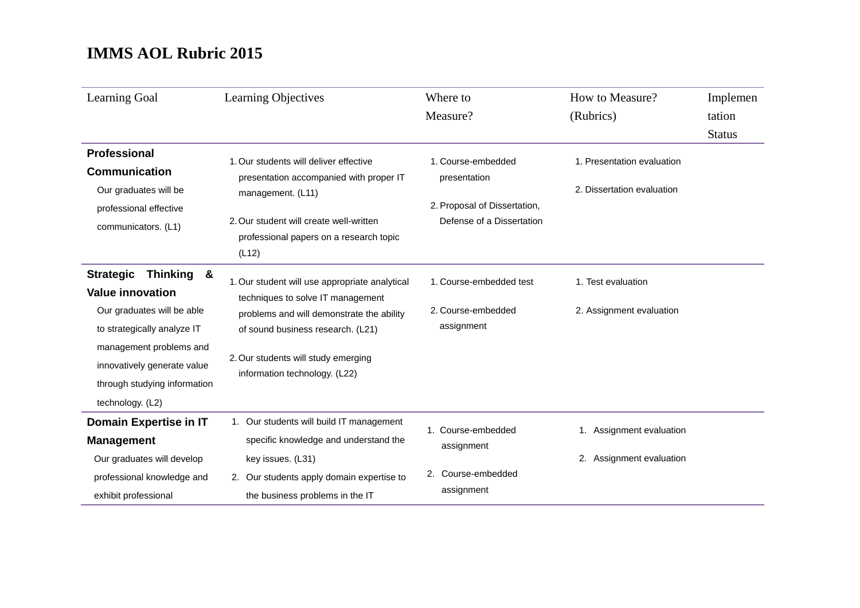| Learning Goal                            | <b>Learning Objectives</b>                                                                  | Where to                     | How to Measure?            | Implemen      |
|------------------------------------------|---------------------------------------------------------------------------------------------|------------------------------|----------------------------|---------------|
|                                          |                                                                                             | Measure?                     | (Rubrics)                  | tation        |
|                                          |                                                                                             |                              |                            | <b>Status</b> |
| <b>Professional</b>                      | 1. Our students will deliver effective                                                      | 1. Course-embedded           | 1. Presentation evaluation |               |
| <b>Communication</b>                     | presentation accompanied with proper IT                                                     | presentation                 |                            |               |
| Our graduates will be                    | management. (L11)                                                                           |                              | 2. Dissertation evaluation |               |
| professional effective                   |                                                                                             | 2. Proposal of Dissertation, |                            |               |
| communicators. (L1)                      | 2. Our student will create well-written<br>professional papers on a research topic<br>(L12) | Defense of a Dissertation    |                            |               |
| <b>Thinking</b><br><b>Strategic</b><br>& |                                                                                             |                              |                            |               |
| <b>Value innovation</b>                  | 1. Our student will use appropriate analytical<br>techniques to solve IT management         | 1. Course-embedded test      | 1. Test evaluation         |               |
| Our graduates will be able               | problems and will demonstrate the ability                                                   | 2. Course-embedded           | 2. Assignment evaluation   |               |
| to strategically analyze IT              | of sound business research. (L21)                                                           | assignment                   |                            |               |
| management problems and                  |                                                                                             |                              |                            |               |
| innovatively generate value              | 2. Our students will study emerging<br>information technology. (L22)                        |                              |                            |               |
| through studying information             |                                                                                             |                              |                            |               |
| technology. (L2)                         |                                                                                             |                              |                            |               |
| Domain Expertise in IT                   | 1. Our students will build IT management                                                    | 1. Course-embedded           | 1. Assignment evaluation   |               |
| <b>Management</b>                        | specific knowledge and understand the                                                       | assignment                   |                            |               |
| Our graduates will develop               | key issues. (L31)                                                                           |                              | 2. Assignment evaluation   |               |
| professional knowledge and               | 2. Our students apply domain expertise to                                                   | 2. Course-embedded           |                            |               |
| exhibit professional                     | the business problems in the IT                                                             | assignment                   |                            |               |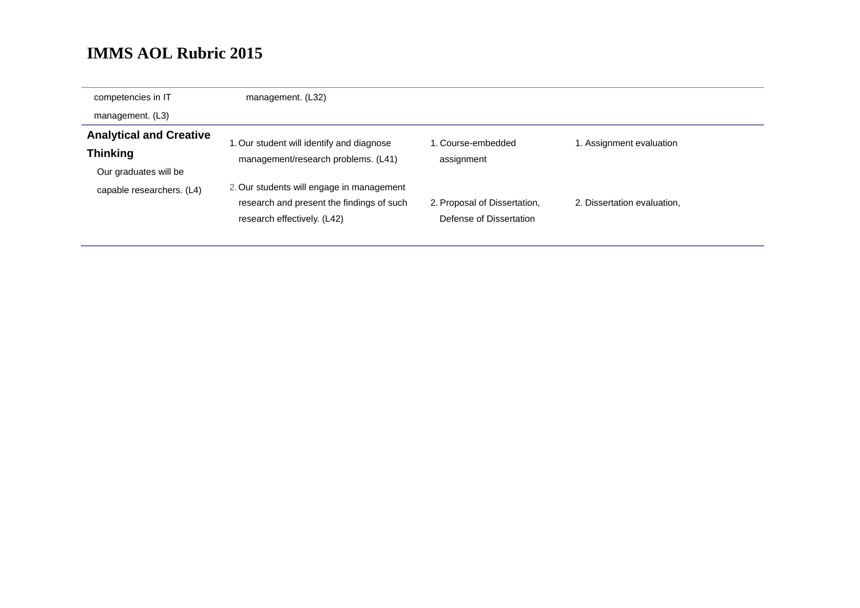| competencies in IT             | management. (L32)                         |                              |                             |
|--------------------------------|-------------------------------------------|------------------------------|-----------------------------|
| management. (L3)               |                                           |                              |                             |
| <b>Analytical and Creative</b> | 1. Our student will identify and diagnose | 1. Course-embedded           | 1. Assignment evaluation    |
| <b>Thinking</b>                | management/research problems. (L41)       | assignment                   |                             |
| Our graduates will be          |                                           |                              |                             |
| capable researchers. (L4)      | 2. Our students will engage in management |                              |                             |
|                                | research and present the findings of such | 2. Proposal of Dissertation, | 2. Dissertation evaluation, |
|                                | research effectively. (L42)               | Defense of Dissertation      |                             |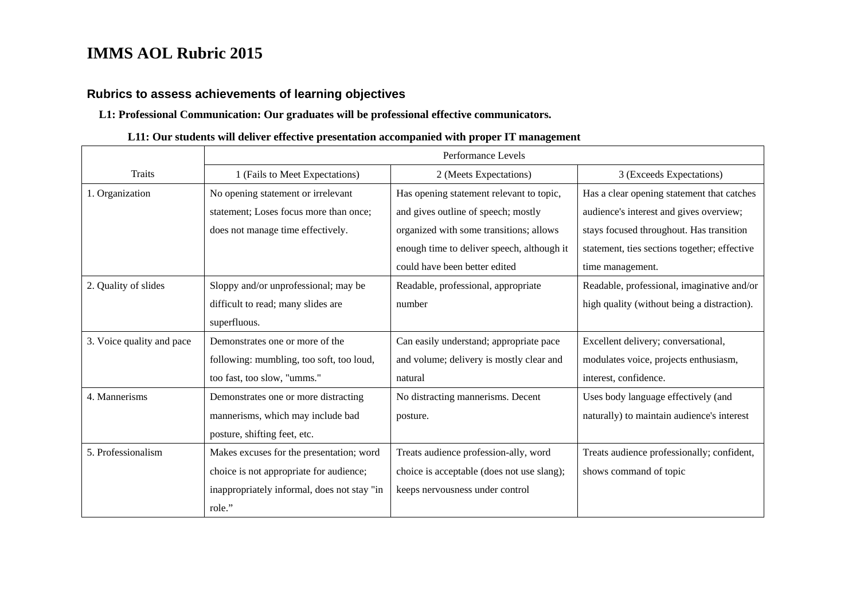### **Rubrics to assess achievements of learning objectives**

#### **L1: Professional Communication: Our graduates will be professional effective communicators.**

#### **L11: Our students will deliver effective presentation accompanied with proper IT management**

|                           | Performance Levels                          |                                            |                                              |  |
|---------------------------|---------------------------------------------|--------------------------------------------|----------------------------------------------|--|
| <b>Traits</b>             | 1 (Fails to Meet Expectations)              | 2 (Meets Expectations)                     | 3 (Exceeds Expectations)                     |  |
| 1. Organization           | No opening statement or irrelevant          | Has opening statement relevant to topic,   | Has a clear opening statement that catches   |  |
|                           | statement; Loses focus more than once;      | and gives outline of speech; mostly        | audience's interest and gives overview;      |  |
|                           | does not manage time effectively.           | organized with some transitions; allows    | stays focused throughout. Has transition     |  |
|                           |                                             | enough time to deliver speech, although it | statement, ties sections together; effective |  |
|                           |                                             | could have been better edited              | time management.                             |  |
| 2. Quality of slides      | Sloppy and/or unprofessional; may be        | Readable, professional, appropriate        | Readable, professional, imaginative and/or   |  |
|                           | difficult to read; many slides are          | number                                     | high quality (without being a distraction).  |  |
|                           | superfluous.                                |                                            |                                              |  |
| 3. Voice quality and pace | Demonstrates one or more of the             | Can easily understand; appropriate pace    | Excellent delivery; conversational,          |  |
|                           | following: mumbling, too soft, too loud,    | and volume; delivery is mostly clear and   | modulates voice, projects enthusiasm,        |  |
|                           | too fast, too slow, "umms."                 | natural                                    | interest, confidence.                        |  |
| 4. Mannerisms             | Demonstrates one or more distracting        | No distracting mannerisms. Decent          | Uses body language effectively (and          |  |
|                           | mannerisms, which may include bad           | posture.                                   | naturally) to maintain audience's interest   |  |
|                           | posture, shifting feet, etc.                |                                            |                                              |  |
| 5. Professionalism        | Makes excuses for the presentation; word    | Treats audience profession-ally, word      | Treats audience professionally; confident,   |  |
|                           | choice is not appropriate for audience;     | choice is acceptable (does not use slang); | shows command of topic                       |  |
|                           | inappropriately informal, does not stay "in | keeps nervousness under control            |                                              |  |
|                           | role."                                      |                                            |                                              |  |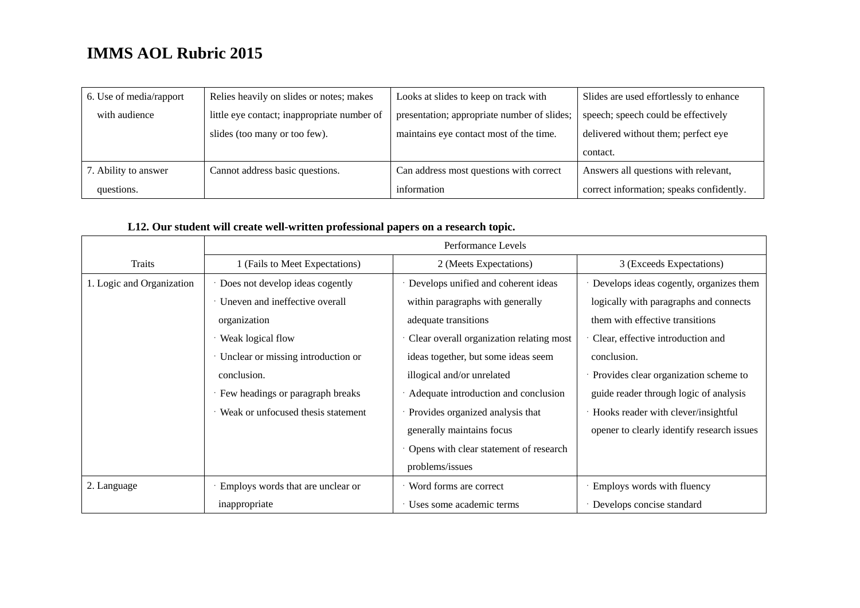| 6. Use of media/rapport | Relies heavily on slides or notes; makes    | Looks at slides to keep on track with       | Slides are used effortlessly to enhance  |
|-------------------------|---------------------------------------------|---------------------------------------------|------------------------------------------|
| with audience           | little eye contact; inappropriate number of | presentation; appropriate number of slides; | speech; speech could be effectively      |
|                         | slides (too many or too few).               | maintains eye contact most of the time.     | delivered without them; perfect eye      |
|                         |                                             |                                             | contact.                                 |
| 7. Ability to answer    | Cannot address basic questions.             | Can address most questions with correct     | Answers all questions with relevant,     |
| questions.              |                                             | information                                 | correct information; speaks confidently. |

### **L12. Our student will create well-written professional papers on a research topic.**

|                           | Performance Levels                 |                                          |                                            |  |
|---------------------------|------------------------------------|------------------------------------------|--------------------------------------------|--|
| Traits                    | 1 (Fails to Meet Expectations)     | 2 (Meets Expectations)                   | 3 (Exceeds Expectations)                   |  |
| 1. Logic and Organization | Does not develop ideas cogently    | Develops unified and coherent ideas      | Develops ideas cogently, organizes them    |  |
|                           | Uneven and ineffective overall     | within paragraphs with generally         | logically with paragraphs and connects     |  |
|                           | organization                       | adequate transitions                     | them with effective transitions            |  |
|                           | Weak logical flow                  | Clear overall organization relating most | Clear, effective introduction and          |  |
|                           | Unclear or missing introduction or | ideas together, but some ideas seem      | conclusion.                                |  |
|                           | conclusion.                        | illogical and/or unrelated               | Provides clear organization scheme to      |  |
|                           | Few headings or paragraph breaks   | Adequate introduction and conclusion     | guide reader through logic of analysis     |  |
|                           | Weak or unfocused thesis statement | Provides organized analysis that         | Hooks reader with clever/insightful        |  |
|                           |                                    | generally maintains focus                | opener to clearly identify research issues |  |
|                           |                                    | Opens with clear statement of research   |                                            |  |
|                           |                                    | problems/issues                          |                                            |  |
| 2. Language               | Employs words that are unclear or  | · Word forms are correct                 | Employs words with fluency                 |  |
|                           | inappropriate                      | Uses some academic terms                 | Develops concise standard                  |  |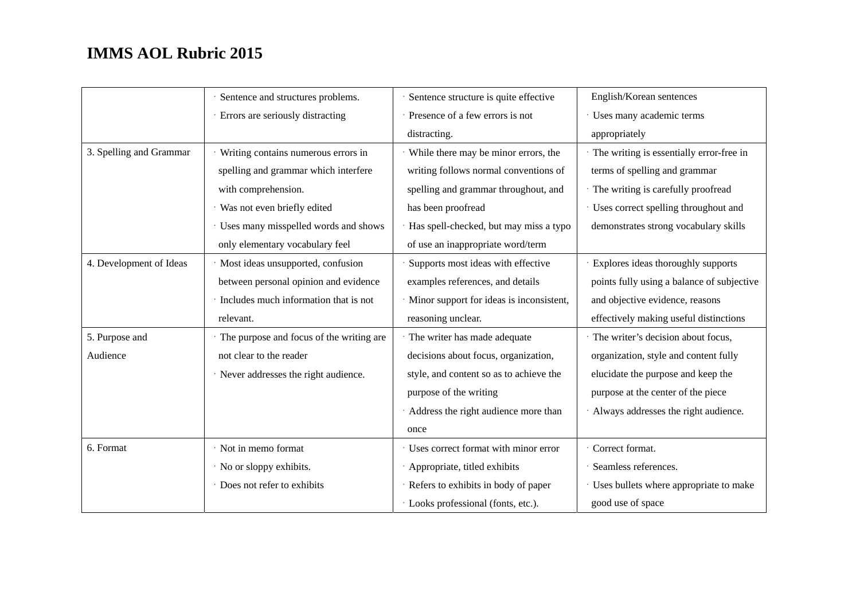|                         | Sentence and structures problems.        | Sentence structure is quite effective      | English/Korean sentences                   |
|-------------------------|------------------------------------------|--------------------------------------------|--------------------------------------------|
|                         | Errors are seriously distracting         | · Presence of a few errors is not          | · Uses many academic terms                 |
|                         |                                          | distracting.                               | appropriately                              |
| 3. Spelling and Grammar | Writing contains numerous errors in      | While there may be minor errors, the       | · The writing is essentially error-free in |
|                         | spelling and grammar which interfere     | writing follows normal conventions of      | terms of spelling and grammar              |
|                         | with comprehension.                      | spelling and grammar throughout, and       | · The writing is carefully proofread       |
|                         | · Was not even briefly edited            | has been proofread                         | · Uses correct spelling throughout and     |
|                         | Uses many misspelled words and shows     | Has spell-checked, but may miss a typo     | demonstrates strong vocabulary skills      |
|                         | only elementary vocabulary feel          | of use an inappropriate word/term          |                                            |
| 4. Development of Ideas | · Most ideas unsupported, confusion      | Supports most ideas with effective         | Explores ideas thoroughly supports         |
|                         | between personal opinion and evidence    | examples references, and details           | points fully using a balance of subjective |
|                         | Includes much information that is not    | · Minor support for ideas is inconsistent, | and objective evidence, reasons            |
|                         | relevant.                                | reasoning unclear.                         | effectively making useful distinctions     |
| 5. Purpose and          | The purpose and focus of the writing are | · The writer has made adequate             | · The writer's decision about focus,       |
| Audience                | not clear to the reader                  | decisions about focus, organization,       | organization, style and content fully      |
|                         | · Never addresses the right audience.    | style, and content so as to achieve the    | elucidate the purpose and keep the         |
|                         |                                          | purpose of the writing                     | purpose at the center of the piece         |
|                         |                                          | Address the right audience more than       | Always addresses the right audience.       |
|                         |                                          | once                                       |                                            |
| 6. Format               | · Not in memo format                     | · Uses correct format with minor error     | Correct format.                            |
|                         | · No or sloppy exhibits.                 | Appropriate, titled exhibits               | Seamless references.                       |
|                         | Does not refer to exhibits               | · Refers to exhibits in body of paper      | · Uses bullets where appropriate to make   |
|                         |                                          | · Looks professional (fonts, etc.).        | good use of space                          |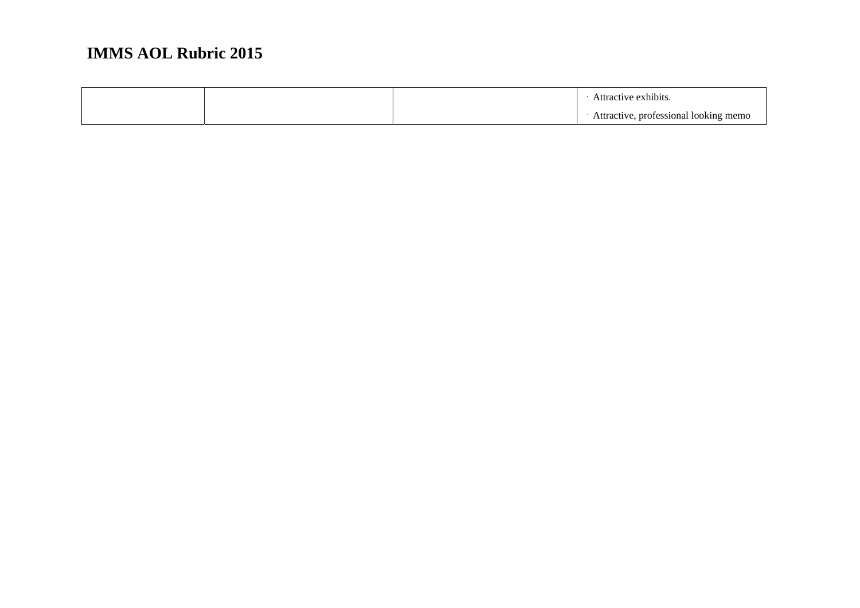|  | Attractive exhibits.                  |
|--|---------------------------------------|
|  | Attractive, professional looking memo |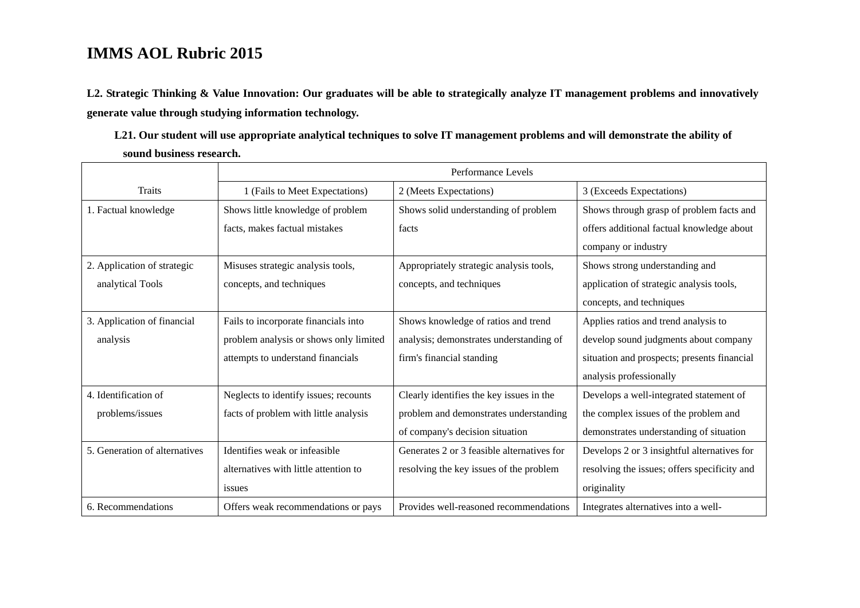**L2. Strategic Thinking & Value Innovation: Our graduates will be able to strategically analyze IT management problems and innovatively generate value through studying information technology.** 

**L21. Our student will use appropriate analytical techniques to solve IT management problems and will demonstrate the ability of sound business research.** 

|                               | Performance Levels                     |                                            |                                              |  |
|-------------------------------|----------------------------------------|--------------------------------------------|----------------------------------------------|--|
| <b>Traits</b>                 | 1 (Fails to Meet Expectations)         | 2 (Meets Expectations)                     | 3 (Exceeds Expectations)                     |  |
| 1. Factual knowledge          | Shows little knowledge of problem      | Shows solid understanding of problem       | Shows through grasp of problem facts and     |  |
|                               | facts, makes factual mistakes          | facts                                      | offers additional factual knowledge about    |  |
|                               |                                        |                                            | company or industry                          |  |
| 2. Application of strategic   | Misuses strategic analysis tools,      | Appropriately strategic analysis tools,    | Shows strong understanding and               |  |
| analytical Tools              | concepts, and techniques               | concepts, and techniques                   | application of strategic analysis tools,     |  |
|                               |                                        |                                            | concepts, and techniques                     |  |
| 3. Application of financial   | Fails to incorporate financials into   | Shows knowledge of ratios and trend        | Applies ratios and trend analysis to         |  |
| analysis                      | problem analysis or shows only limited | analysis; demonstrates understanding of    | develop sound judgments about company        |  |
|                               | attempts to understand financials      | firm's financial standing                  | situation and prospects; presents financial  |  |
|                               |                                        |                                            | analysis professionally                      |  |
| 4. Identification of          | Neglects to identify issues; recounts  | Clearly identifies the key issues in the   | Develops a well-integrated statement of      |  |
| problems/issues               | facts of problem with little analysis  | problem and demonstrates understanding     | the complex issues of the problem and        |  |
|                               |                                        | of company's decision situation            | demonstrates understanding of situation      |  |
| 5. Generation of alternatives | Identifies weak or infeasible          | Generates 2 or 3 feasible alternatives for | Develops 2 or 3 insightful alternatives for  |  |
|                               | alternatives with little attention to  | resolving the key issues of the problem    | resolving the issues; offers specificity and |  |
|                               | issues                                 |                                            | originality                                  |  |
| 6. Recommendations            | Offers weak recommendations or pays    | Provides well-reasoned recommendations     | Integrates alternatives into a well-         |  |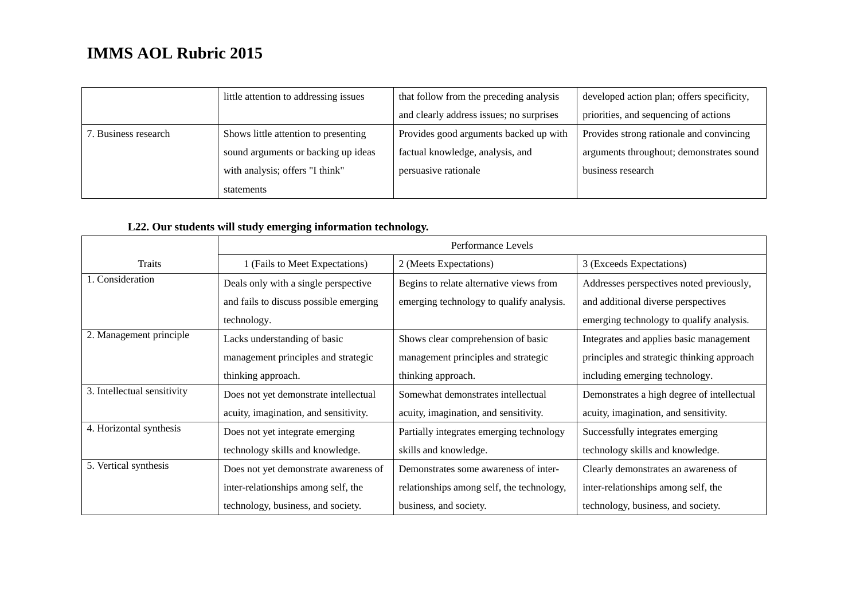|                      | little attention to addressing issues | that follow from the preceding analysis  | developed action plan; offers specificity, |
|----------------------|---------------------------------------|------------------------------------------|--------------------------------------------|
|                      |                                       | and clearly address issues; no surprises | priorities, and sequencing of actions      |
| 7. Business research | Shows little attention to presenting  | Provides good arguments backed up with   | Provides strong rationale and convincing   |
|                      | sound arguments or backing up ideas   | factual knowledge, analysis, and         | arguments throughout; demonstrates sound   |
|                      | with analysis; offers "I think"       | persuasive rationale                     | business research                          |
|                      | statements                            |                                          |                                            |

### **L22. Our students will study emerging information technology.**

|                             | Performance Levels                     |                                           |                                            |  |
|-----------------------------|----------------------------------------|-------------------------------------------|--------------------------------------------|--|
| Traits                      | 1 (Fails to Meet Expectations)         | 2 (Meets Expectations)                    | 3 (Exceeds Expectations)                   |  |
| 1. Consideration            | Deals only with a single perspective   | Begins to relate alternative views from   | Addresses perspectives noted previously,   |  |
|                             | and fails to discuss possible emerging | emerging technology to qualify analysis.  | and additional diverse perspectives        |  |
|                             | technology.                            |                                           | emerging technology to qualify analysis.   |  |
| 2. Management principle     | Lacks understanding of basic           | Shows clear comprehension of basic        | Integrates and applies basic management    |  |
|                             | management principles and strategic    | management principles and strategic       | principles and strategic thinking approach |  |
|                             | thinking approach.                     | thinking approach.                        | including emerging technology.             |  |
| 3. Intellectual sensitivity | Does not yet demonstrate intellectual  | Somewhat demonstrates intellectual        | Demonstrates a high degree of intellectual |  |
|                             | acuity, imagination, and sensitivity.  | acuity, imagination, and sensitivity.     | acuity, imagination, and sensitivity.      |  |
| 4. Horizontal synthesis     | Does not yet integrate emerging        | Partially integrates emerging technology  | Successfully integrates emerging           |  |
|                             | technology skills and knowledge.       | skills and knowledge.                     | technology skills and knowledge.           |  |
| 5. Vertical synthesis       | Does not yet demonstrate awareness of  | Demonstrates some awareness of inter-     | Clearly demonstrates an awareness of       |  |
|                             | inter-relationships among self, the    | relationships among self, the technology, | inter-relationships among self, the        |  |
|                             | technology, business, and society.     | business, and society.                    | technology, business, and society.         |  |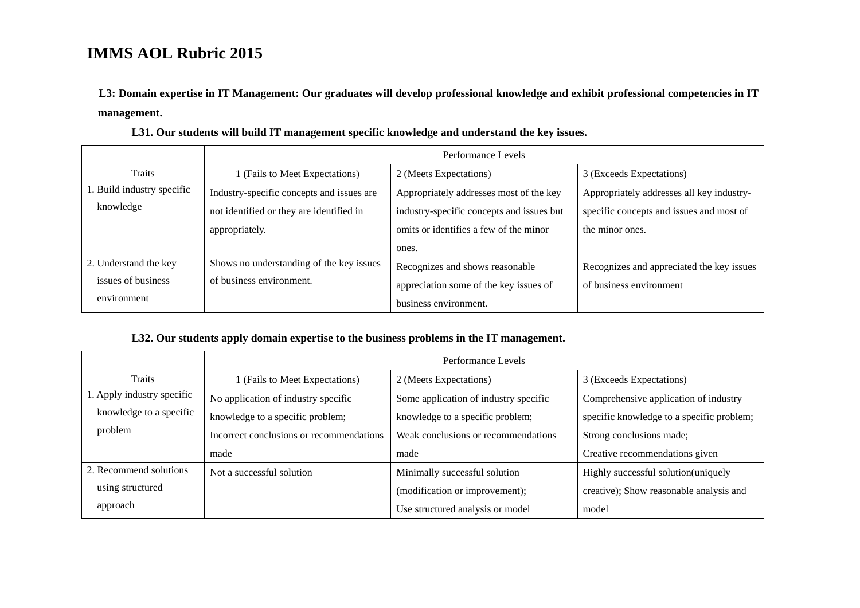**L3: Domain expertise in IT Management: Our graduates will develop professional knowledge and exhibit professional competencies in IT management.** 

|                            | Performance Levels                        |                                           |                                           |  |
|----------------------------|-------------------------------------------|-------------------------------------------|-------------------------------------------|--|
| Traits                     | 1 (Fails to Meet Expectations)            | 2 (Meets Expectations)                    | 3 (Exceeds Expectations)                  |  |
| 1. Build industry specific | Industry-specific concepts and issues are | Appropriately addresses most of the key   | Appropriately addresses all key industry- |  |
| knowledge                  | not identified or they are identified in  | industry-specific concepts and issues but | specific concepts and issues and most of  |  |
|                            | appropriately.                            | omits or identifies a few of the minor    | the minor ones.                           |  |
|                            |                                           | ones.                                     |                                           |  |
| 2. Understand the key      | Shows no understanding of the key issues  | Recognizes and shows reasonable           | Recognizes and appreciated the key issues |  |
| issues of business         | of business environment.                  | appreciation some of the key issues of    | of business environment                   |  |
| environment                |                                           | business environment.                     |                                           |  |

**L31. Our students will build IT management specific knowledge and understand the key issues.** 

### **L32. Our students apply domain expertise to the business problems in the IT management.**

|                            | Performance Levels                       |                                       |                                           |  |
|----------------------------|------------------------------------------|---------------------------------------|-------------------------------------------|--|
| <b>Traits</b>              | 1 (Fails to Meet Expectations)           | 2 (Meets Expectations)                | 3 (Exceeds Expectations)                  |  |
| 1. Apply industry specific | No application of industry specific      | Some application of industry specific | Comprehensive application of industry     |  |
| knowledge to a specific    | knowledge to a specific problem;         | knowledge to a specific problem;      | specific knowledge to a specific problem; |  |
| problem                    | Incorrect conclusions or recommendations | Weak conclusions or recommendations   | Strong conclusions made;                  |  |
|                            | made                                     | made                                  | Creative recommendations given            |  |
| 2. Recommend solutions     | Not a successful solution                | Minimally successful solution         | Highly successful solution (uniquely      |  |
| using structured           |                                          | (modification or improvement);        | creative); Show reasonable analysis and   |  |
| approach                   |                                          | Use structured analysis or model      | model                                     |  |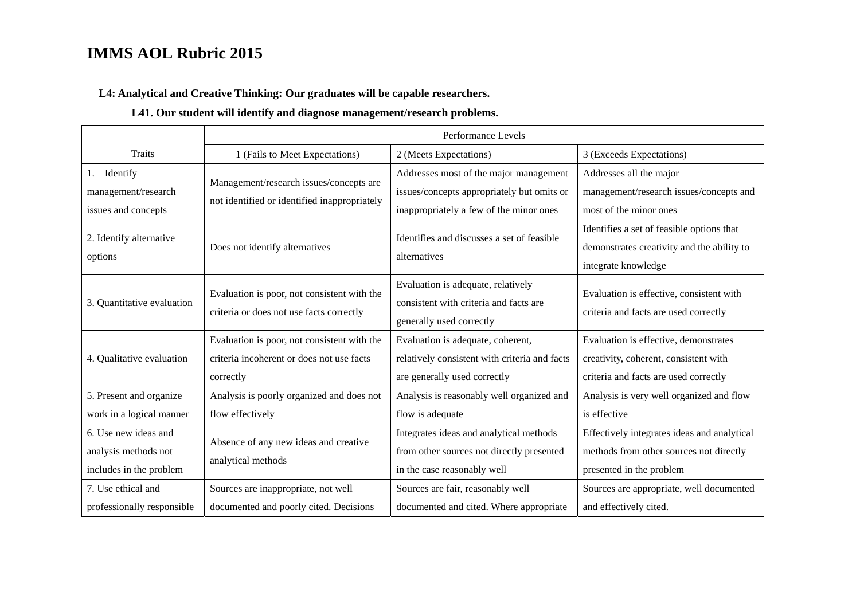**L4: Analytical and Creative Thinking: Our graduates will be capable researchers.** 

### **L41. Our student will identify and diagnose management/research problems.**

|                                                                         | Performance Levels                                                                                    |                                                                                                                                 |                                                                                                                         |
|-------------------------------------------------------------------------|-------------------------------------------------------------------------------------------------------|---------------------------------------------------------------------------------------------------------------------------------|-------------------------------------------------------------------------------------------------------------------------|
| <b>Traits</b>                                                           | 1 (Fails to Meet Expectations)                                                                        | 2 (Meets Expectations)                                                                                                          | 3 (Exceeds Expectations)                                                                                                |
| Identify<br>1.<br>management/research<br>issues and concepts            | Management/research issues/concepts are<br>not identified or identified inappropriately               | Addresses most of the major management<br>issues/concepts appropriately but omits or<br>inappropriately a few of the minor ones | Addresses all the major<br>management/research issues/concepts and<br>most of the minor ones                            |
| 2. Identify alternative<br>options                                      | Does not identify alternatives                                                                        | Identifies and discusses a set of feasible<br>alternatives                                                                      | Identifies a set of feasible options that<br>demonstrates creativity and the ability to<br>integrate knowledge          |
| 3. Quantitative evaluation                                              | Evaluation is poor, not consistent with the<br>criteria or does not use facts correctly               | Evaluation is adequate, relatively<br>consistent with criteria and facts are<br>generally used correctly                        | Evaluation is effective, consistent with<br>criteria and facts are used correctly                                       |
| 4. Qualitative evaluation                                               | Evaluation is poor, not consistent with the<br>criteria incoherent or does not use facts<br>correctly | Evaluation is adequate, coherent,<br>relatively consistent with criteria and facts<br>are generally used correctly              | Evaluation is effective, demonstrates<br>creativity, coherent, consistent with<br>criteria and facts are used correctly |
| 5. Present and organize<br>work in a logical manner                     | Analysis is poorly organized and does not<br>flow effectively                                         | Analysis is reasonably well organized and<br>flow is adequate                                                                   | Analysis is very well organized and flow<br>is effective                                                                |
| 6. Use new ideas and<br>analysis methods not<br>includes in the problem | Absence of any new ideas and creative<br>analytical methods                                           | Integrates ideas and analytical methods<br>from other sources not directly presented<br>in the case reasonably well             | Effectively integrates ideas and analytical<br>methods from other sources not directly<br>presented in the problem      |
| 7. Use ethical and<br>professionally responsible                        | Sources are inappropriate, not well<br>documented and poorly cited. Decisions                         | Sources are fair, reasonably well<br>documented and cited. Where appropriate                                                    | Sources are appropriate, well documented<br>and effectively cited.                                                      |